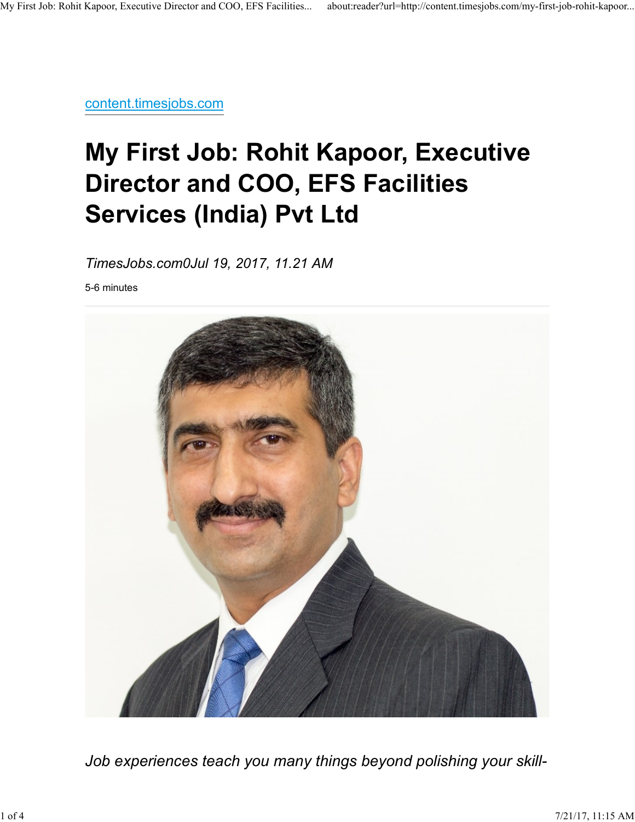content.timesjobs.com

# My First Job: Rohit Kapoor, Executive Director and COO, EFS Facilities Services (India) Pvt Ltd

TimesJobs.com0Jul 19, 2017, 11.21 AM

5-6 minutes



Job experiences teach you many things beyond polishing your skill-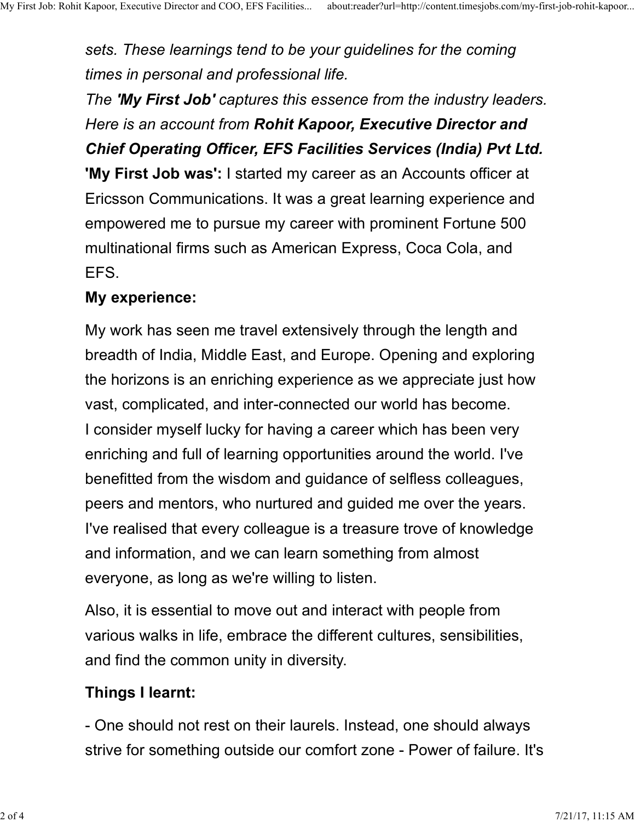sets. These learnings tend to be your guidelines for the coming times in personal and professional life. My First Job: Rohit Kapoor, Executive Director and COO, EFS Facilities... about:reader?url=http://content.timesjobs.com/my-first-job-rohit-kapoor...<br>Sets. These learnings tend to be your guidelines for the coming<br>times in

> The **'My First Job'** captures this essence from the industry leaders. Here is an account from Rohit Kapoor, Executive Director and Chief Operating Officer, EFS Facilities Services (India) Pvt Ltd. 'My First Job was': I started my career as an Accounts officer at Ericsson Communications. It was a great learning experience and empowered me to pursue my career with prominent Fortune 500 multinational firms such as American Express, Coca Cola, and EFS.

#### My experience:

My work has seen me travel extensively through the length and breadth of India, Middle East, and Europe. Opening and exploring the horizons is an enriching experience as we appreciate just how vast, complicated, and inter-connected our world has become. I consider myself lucky for having a career which has been very enriching and full of learning opportunities around the world. I've benefitted from the wisdom and guidance of selfless colleagues, peers and mentors, who nurtured and guided me over the years. I've realised that every colleague is a treasure trove of knowledge and information, and we can learn something from almost everyone, as long as we're willing to listen.

Also, it is essential to move out and interact with people from various walks in life, embrace the different cultures, sensibilities, and find the common unity in diversity. and information, and we can learn something from almost<br>everyone, as long as we're willing to listen.<br>Also, it is essential to move out and interact with people from<br>various walks in life, embrace the different cultures, s

#### Things I learnt:

- One should not rest on their laurels. Instead, one should always strive for something outside our comfort zone - Power of failure. It's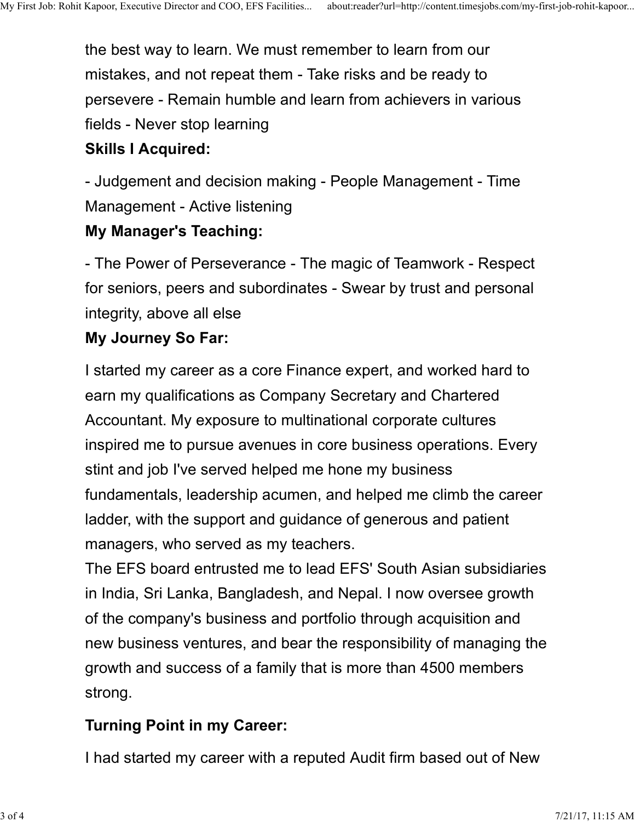the best way to learn. We must remember to learn from our mistakes, and not repeat them - Take risks and be ready to persevere - Remain humble and learn from achievers in various fields - Never stop learning My First Job: Rohit Kapoor, Executive Director and COO, EFS Facilities... about:reader?url=http://content.timesjobs.com/my-first-job-rohit-kapoor...<br>the best way to learn. We must remember to learn from our<br>mistakes, and n

## Skills I Acquired:

- Judgement and decision making - People Management - Time Management - Active listening

## My Manager's Teaching:

- The Power of Perseverance - The magic of Teamwork - Respect for seniors, peers and subordinates - Swear by trust and personal integrity, above all else

## My Journey So Far:

I started my career as a core Finance expert, and worked hard to earn my qualifications as Company Secretary and Chartered Accountant. My exposure to multinational corporate cultures inspired me to pursue avenues in core business operations. Every stint and job I've served helped me hone my business fundamentals, leadership acumen, and helped me climb the career ladder, with the support and guidance of generous and patient managers, who served as my teachers.

The EFS board entrusted me to lead EFS' South Asian subsidiaries in India, Sri Lanka, Bangladesh, and Nepal. I now oversee growth of the company's business and portfolio through acquisition and new business ventures, and bear the responsibility of managing the growth and success of a family that is more than 4500 members strong. The EFS board entrusted me to lead EFS' South Asian subsidiaries<br>
in India, Sri Lanka, Bangladesh, and Nepal. I now oversee growth<br>
of the company's business and portfolio through acquisition and<br>
new business ventures, an

# Turning Point in my Career:

I had started my career with a reputed Audit firm based out of New